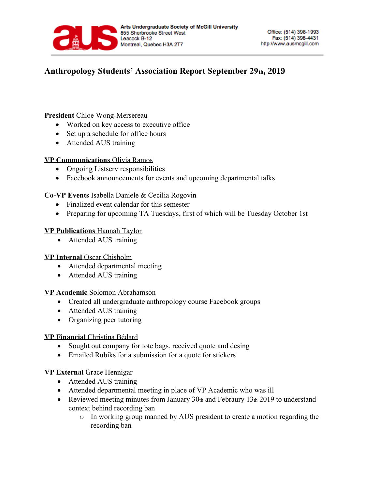

## **Anthropology Students' Association Report September 29th, 2019**

### **President** Chloe Wong-Mersereau

- Worked on key access to executive office
- Set up a schedule for office hours
- Attended AUS training

#### **VP Communications** Olivia Ramos

- Ongoing Listserv responsibilities
- Facebook announcements for events and upcoming departmental talks

### **Co-VP Events** Isabella Daniele & Cecilia Rogovin

- Finalized event calendar for this semester
- Preparing for upcoming TA Tuesdays, first of which will be Tuesday October 1st

#### **VP Publications** Hannah Taylor

• Attended AUS training

### **VP Internal** Oscar Chisholm

- Attended departmental meeting
- Attended AUS training

#### **VP Academic** Solomon Abrahamson

- Created all undergraduate anthropology course Facebook groups
- Attended AUS training
- Organizing peer tutoring

### **VP Financial** Christina Bédard

- Sought out company for tote bags, received quote and desing
- Emailed Rubiks for a submission for a quote for stickers

### **VP External** Grace Hennigar

- Attended AUS training
- Attended departmental meeting in place of VP Academic who was ill
- Reviewed meeting minutes from January 30th and Febraury 13th 2019 to understand context behind recording ban
	- o In working group manned by AUS president to create a motion regarding the recording ban